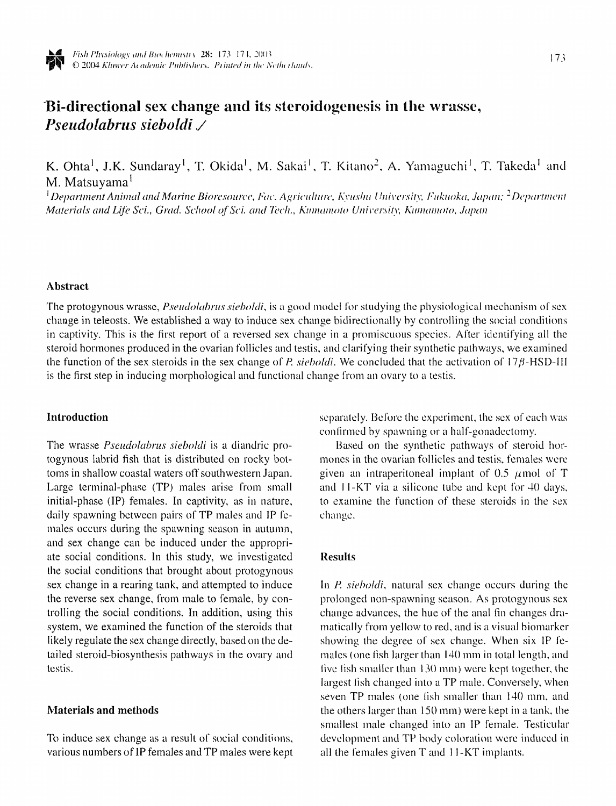# Bi-directional sex change and its steroid ogenesis in the wrasse, Pseudolabrus sieboldi  $\angle$

K. Ohta<sup>1</sup>, J.K. Sundaray<sup>1</sup>, T. Okida<sup>1</sup>, M. Sakai<sup>1</sup>, T. Kitano<sup>2</sup>, A. Yamaguchi<sup>1</sup>, T. Takeda<sup>1</sup> and M. Matsuvama<sup>1</sup>

<sup>1</sup> Department Animal and Marine Bioresource, Fac. Agriculture, Kyushu University, Fukuoka, Japan; <sup>2</sup> Department Materials and Life Sci., Grad. School of Sci. and Tech., Kumamoto University, Kumamoto, Japan

## **Abstract**

The protogynous wrasse, *Pseudolabrus sieboldi*, is a good model for studying the physiological mechanism of sex change in teleosts. We established a way to induce sex change bidirectionally by controlling the social conditions in captivity. This is the first report of a reversed sex change in a promiscuous species. After identifying all the steroid hormones produced in the ovarian follicles and testis, and clarifying their synthetic pathways, we examined the function of the sex steroids in the sex change of P. sieboldi. We concluded that the activation of  $17\beta$ -HSD-III is the first step in inducing morphological and functional change from an ovary to a testis.

## Introduction

The wrasse *Pseudolabrus sieboldi* is a diandric protogynous labrid fish that is distributed on rocky bottoms in shallow coastal waters off southwestern Japan. Large terminal-phase (TP) males arise from small initial-phase (IP) females. In captivity, as in nature, daily spawning between pairs of TP males and IP females occurs during the spawning season in autumn, and sex change can be induced under the appropriate social conditions. In this study, we investigated the social conditions that brought about protogynous sex change in a rearing tank, and attempted to induce the reverse sex change, from male to female, by controlling the social conditions. In addition, using this system, we examined the function of the steroids that likely regulate the sex change directly, based on the detailed steroid-biosynthesis pathways in the ovary and testis.

### **Materials and methods**

To induce sex change as a result of social conditions, various numbers of IP females and TP males were kept separately. Before the experiment, the sex of each was confirmed by spawning or a half-gonadectomy.

Based on the synthetic pathways of steroid hormones in the ovarian follicles and testis, females were given an intraperitoneal implant of 0.5  $\mu$ mol of T and 11-KT via a silicone tube and kept for 40 days, to examine the function of these steroids in the sex change.

#### **Results**

In *P. sieboldi*, natural sex change occurs during the prolonged non-spawning season. As protogynous sex change advances, the hue of the anal fin changes dramatically from yellow to red, and is a visual biomarker showing the degree of sex change. When six IP females (one fish larger than 140 mm in total length, and five fish smaller than 130 mm) were kept together, the largest fish changed into a TP male. Conversely, when seven TP males (one fish smaller than 140 mm, and the others larger than 150 mm) were kept in a tank, the smallest male changed into an IP female. Testicular development and TP body coloration were induced in all the females given T and 11-KT implants.